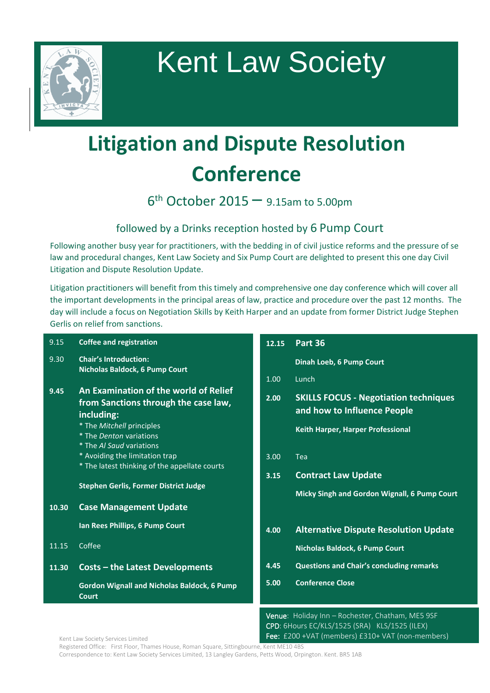

Kent Law Society

## **Litigation and Dispute Resolution Conference**

 $6<sup>th</sup> October 2015 - 9.15$ am to 5.00pm

## followed by a Drinks reception hosted by 6 Pump Court

law and procedural changes, Kent Law Society and Six Pump Court are delighted to present this one day Civil<br>https://www.andores.com/www.andores.com/www.and/www.andores.com/www.andores.com/www.andores.com/www.andores.co Following another busy year for practitioners, with the bedding in of civil justice reforms and the pressure of se Litigation and Dispute Resolution Update.

ere<br>Litigation practitioners will benefit from this timely and comprehensive one day conference which will cover all the important developments in the principal areas of law, practice and procedure over the past 12 months. The day will include a focus on Negotiation Skills by Keith Harper and an update from former District Judge Stephen Gerlis on relief from sanctions.

| 9.15  | <b>Coffee and registration</b>                                                                                                                                                                                                                                     | 12.15                | <b>Part 36</b>                                                                                                                   |
|-------|--------------------------------------------------------------------------------------------------------------------------------------------------------------------------------------------------------------------------------------------------------------------|----------------------|----------------------------------------------------------------------------------------------------------------------------------|
| 9.30  | <b>Chair's Introduction:</b><br>Nicholas Baldock, 6 Pump Court                                                                                                                                                                                                     |                      | Dinah Loeb, 6 Pump Court                                                                                                         |
| 9.45  | An Examination of the world of Relief<br>from Sanctions through the case law,<br>including:<br>* The Mitchell principles<br>* The Denton variations<br>* The Al Saud variations<br>* Avoiding the limitation trap<br>* The latest thinking of the appellate courts | 1.00<br>2.00<br>3.00 | Lunch<br><b>SKILLS FOCUS - Negotiation techniques</b><br>and how to Influence People<br>Keith Harper, Harper Professional<br>Tea |
|       | <b>Stephen Gerlis, Former District Judge</b>                                                                                                                                                                                                                       | 3.15                 | <b>Contract Law Update</b><br>Micky Singh and Gordon Wignall, 6 Pump Court                                                       |
| 10.30 | <b>Case Management Update</b>                                                                                                                                                                                                                                      |                      |                                                                                                                                  |
|       | Ian Rees Phillips, 6 Pump Court                                                                                                                                                                                                                                    | 4.00                 | <b>Alternative Dispute Resolution Update</b>                                                                                     |
| 11.15 | Coffee                                                                                                                                                                                                                                                             |                      | Nicholas Baldock, 6 Pump Court                                                                                                   |
| 11.30 | Costs - the Latest Developments                                                                                                                                                                                                                                    | 4.45                 | <b>Questions and Chair's concluding remarks</b>                                                                                  |
|       | <b>Gordon Wignall and Nicholas Baldock, 6 Pump</b><br><b>Court</b>                                                                                                                                                                                                 | 5.00                 | <b>Conference Close</b>                                                                                                          |
|       |                                                                                                                                                                                                                                                                    |                      | Magazine, High-Harthaus, David Charles Charles and MEE OCE                                                                       |

**/enue**: Holiday Inn – Rochester, Chatham, CPD: 6Hours EC/KLS/1525 (SRA) KLS/1525 (ILEX) Fee: £200 +VAT (members) £310+ VAT (non-members)

Kent Law Society Services Limited

Registered Office: First Floor, Thames House, Roman Square, Sittingbourne, Kent ME10 4BS Correspondence to: Kent Law Society Services Limited, 13 Langley Gardens, Petts Wood, Orpington. Kent. BR5 1AB